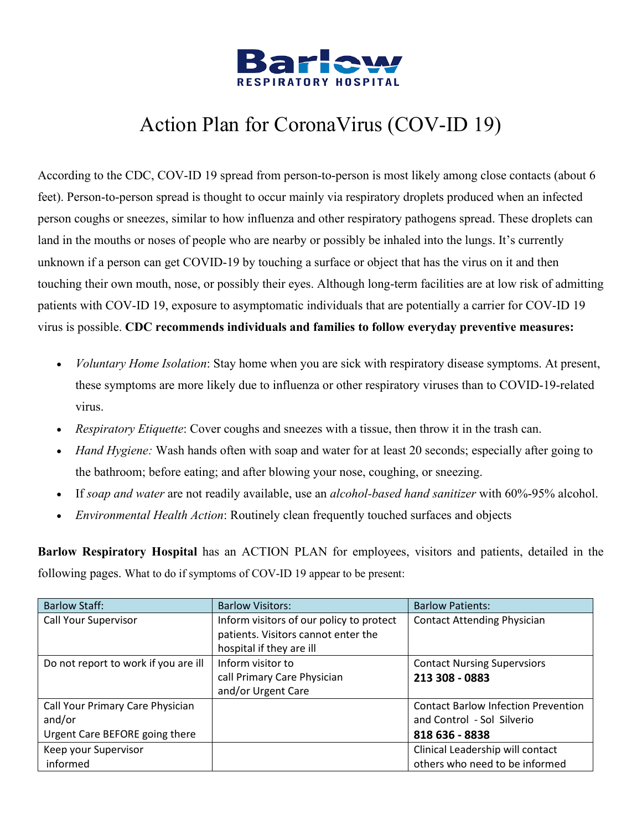

[According to the CDC,](https://www.cdc.gov/coronavirus/2019-ncov/about/transmission.html) COV-ID 19 spread from person-to-person is most likely among close contacts (about 6 feet). Person-to-person spread is thought to occur mainly via respiratory droplets produced when an infected person coughs or sneezes, similar to how influenza and other respiratory pathogens spread. These droplets can land in the mouths or noses of people who are nearby or possibly be inhaled into the lungs. It's currently unknown if a person can get COVID-19 by touching a surface or object that has the virus on it and then touching their own mouth, nose, or possibly their eyes. Although long-term facilities are at low risk of admitting patients with COV-ID 19, exposure to asymptomatic individuals that are potentially a carrier for COV-ID 19 virus is possible. **CDC recommends individuals and families to follow everyday preventive measures:**

- *Voluntary Home Isolation*: Stay home when you are sick with respiratory disease symptoms. At present, these symptoms are more likely due to influenza or other respiratory viruses than to COVID-19-related virus.
- *Respiratory Etiquette*: Cover coughs and sneezes with a tissue, then throw it in the trash can.
- *Hand Hygiene:* Wash hands often with soap and water for at least 20 seconds; especially after going to the bathroom; before eating; and after blowing your nose, coughing, or sneezing.
- If *soap and water* are not readily available, use an *alcohol-based hand sanitizer* with 60%-95% alcohol.
- *Environmental Health Action*: Routinely clean frequently touched surfaces and objects

**Barlow Respiratory Hospital** has an ACTION PLAN for employees, visitors and patients, detailed in the following pages. What to do if symptoms of COV-ID 19 appear to be present:

| <b>Barlow Staff:</b>                 | <b>Barlow Visitors:</b>                  | <b>Barlow Patients:</b>                    |
|--------------------------------------|------------------------------------------|--------------------------------------------|
| Call Your Supervisor                 | Inform visitors of our policy to protect | <b>Contact Attending Physician</b>         |
|                                      | patients. Visitors cannot enter the      |                                            |
|                                      | hospital if they are ill                 |                                            |
| Do not report to work if you are ill | Inform visitor to                        | <b>Contact Nursing Supervsiors</b>         |
|                                      | call Primary Care Physician              | 213 308 - 0883                             |
|                                      | and/or Urgent Care                       |                                            |
| Call Your Primary Care Physician     |                                          | <b>Contact Barlow Infection Prevention</b> |
| and/or                               |                                          | and Control - Sol Silverio                 |
| Urgent Care BEFORE going there       |                                          | 818 636 - 8838                             |
| Keep your Supervisor                 |                                          | Clinical Leadership will contact           |
| informed                             |                                          | others who need to be informed             |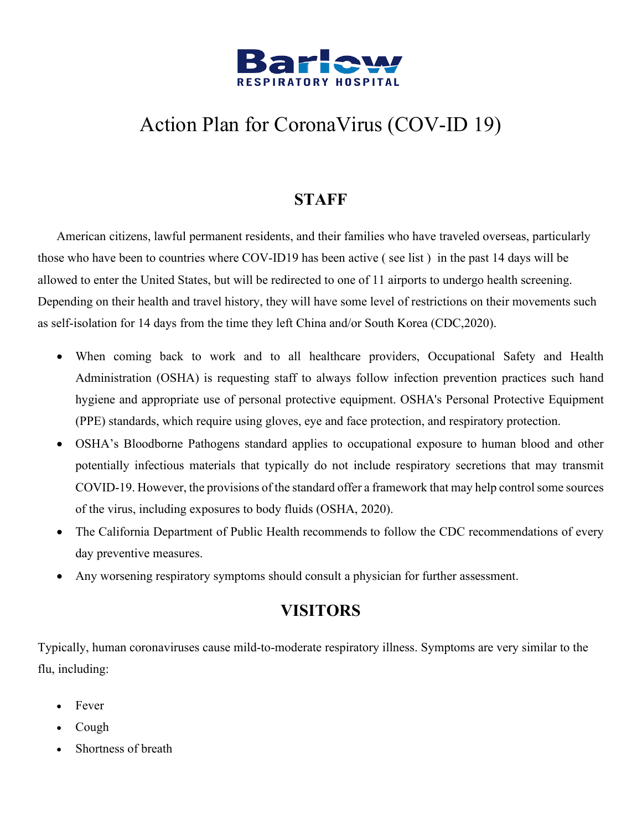

#### **STAFF**

American citizens, lawful permanent residents, and their families who have traveled overseas, particularly those who have been to countries where COV-ID19 has been active ( see list ) in the past 14 days will be allowed to enter the United States, but will be redirected to one of 11 airports to undergo health screening. Depending on their health and travel history, they will have some level of restrictions on their movements such as self-isolation for 14 days from the time they left China and/or South Korea (CDC,2020).

- When coming back to work and to all healthcare providers, Occupational Safety and Health Administration (OSHA) is requesting staff to always follow infection prevention practices such hand hygiene and appropriate use of personal protective equipment. OSHA's Personal Protective Equipment (PPE) standards, which require using gloves, eye and face protection, and respiratory protection.
- OSHA's Bloodborne Pathogens standard applies to occupational exposure to human blood and other potentially infectious materials that typically do not include respiratory secretions that may transmit COVID-19. However, the provisions of the standard offer a framework that may help control some sources of the virus, including exposures to body fluids (OSHA, 2020).
- The California Department of Public Health recommends to follow the CDC recommendations of every day preventive measures.
- Any worsening respiratory symptoms should consult a physician for further assessment.

#### **VISITORS**

Typically, human coronaviruses cause mild-to-moderate respiratory illness. Symptoms are very similar to the flu, including:

- Fever
- Cough
- Shortness of breath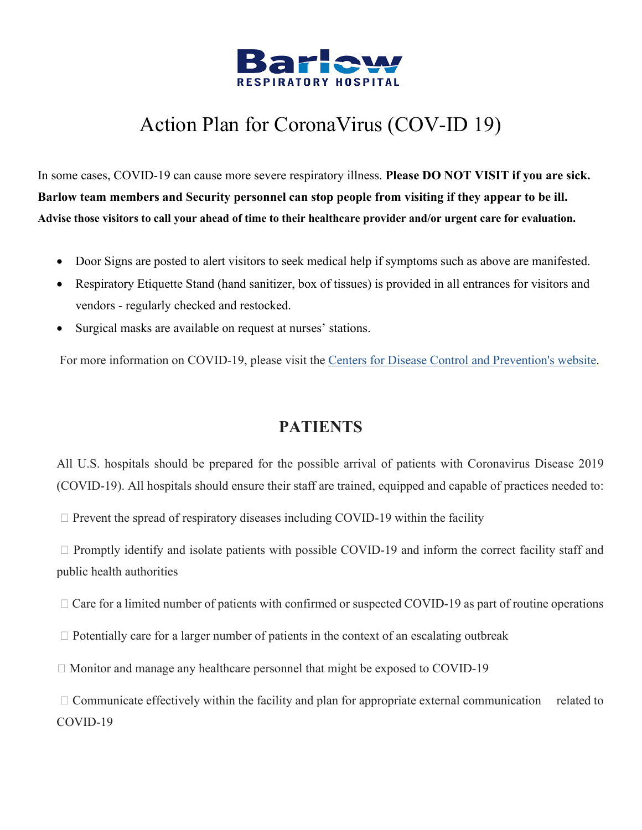

In some cases, COVID-19 can cause more severe respiratory illness. **Please DO NOT VISIT if you are sick. Barlow team members and Security personnel can stop people from visiting if they appear to be ill. Advise those visitors to call your ahead of time to their healthcare provider and/or urgent care for evaluation.**

- Door Signs are posted to alert visitors to seek medical help if symptoms such as above are manifested.
- Respiratory Etiquette Stand (hand sanitizer, box of tissues) is provided in all entrances for visitors and vendors - regularly checked and restocked.
- Surgical masks are available on request at nurses' stations.

For more information on COVID-19, please visit the [Centers for Disease Control and Prevention's website.](https://www.cdc.gov/coronavirus/2019-ncov/index.html)

#### **PATIENTS**

All U.S. hospitals should be prepared for the possible arrival of patients with Coronavirus Disease 2019 (COVID-19). All hospitals should ensure their staff are trained, equipped and capable of practices needed to:

 $\Box$  Prevent the spread of respiratory diseases including COVID-19 within the facility

 $\Box$  Promptly identify and isolate patients with possible COVID-19 and inform the correct facility staff and public health authorities

 $\Box$  Care for a limited number of patients with confirmed or suspected COVID-19 as part of routine operations

 $\Box$  Potentially care for a larger number of patients in the context of an escalating outbreak

 $\Box$  Monitor and manage any healthcare personnel that might be exposed to COVID-19

 $\Box$  Communicate effectively within the facility and plan for appropriate external communication related to COVID-19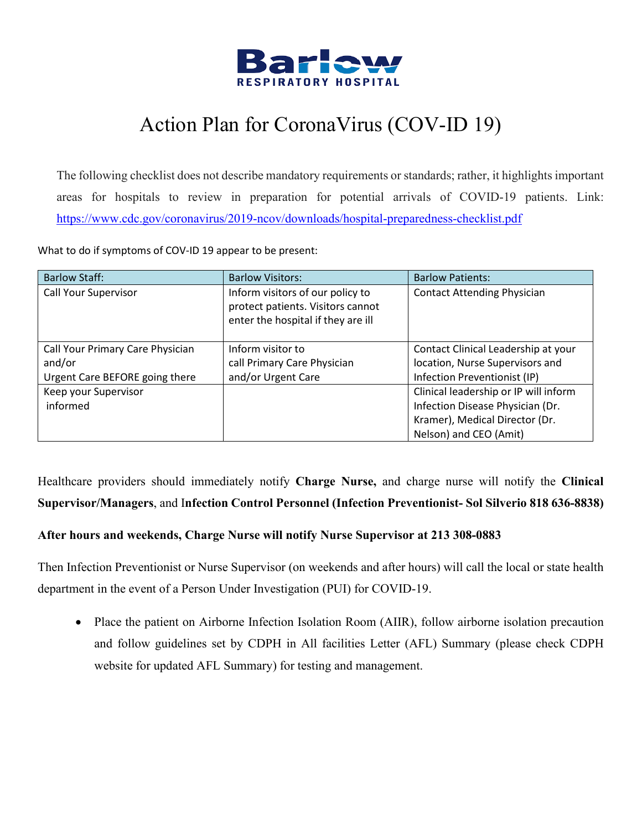

The following checklist does not describe mandatory requirements or standards; rather, it highlights important areas for hospitals to review in preparation for potential arrivals of COVID-19 patients. Link: <https://www.cdc.gov/coronavirus/2019-ncov/downloads/hospital-preparedness-checklist.pdf>

What to do if symptoms of COV-ID 19 appear to be present:

| <b>Barlow Staff:</b>             | <b>Barlow Visitors:</b>                                                                                     | <b>Barlow Patients:</b>               |
|----------------------------------|-------------------------------------------------------------------------------------------------------------|---------------------------------------|
| Call Your Supervisor             | Inform visitors of our policy to<br>protect patients. Visitors cannot<br>enter the hospital if they are ill | <b>Contact Attending Physician</b>    |
| Call Your Primary Care Physician | Inform visitor to                                                                                           | Contact Clinical Leadership at your   |
| and/or                           | call Primary Care Physician                                                                                 | location, Nurse Supervisors and       |
| Urgent Care BEFORE going there   | and/or Urgent Care                                                                                          | Infection Preventionist (IP)          |
| Keep your Supervisor             |                                                                                                             | Clinical leadership or IP will inform |
| informed                         |                                                                                                             | Infection Disease Physician (Dr.      |
|                                  |                                                                                                             | Kramer), Medical Director (Dr.        |
|                                  |                                                                                                             | Nelson) and CEO (Amit)                |

Healthcare providers should immediately notify **Charge Nurse,** and charge nurse will notify the **Clinical Supervisor/Managers**, and I**nfection Control Personnel (Infection Preventionist- Sol Silverio 818 636-8838)**

#### **After hours and weekends, Charge Nurse will notify Nurse Supervisor at 213 308-0883**

Then Infection Preventionist or Nurse Supervisor (on weekends and after hours) will call the local or state health department in the event of a Person Under Investigation (PUI) for COVID-19.

• Place the patient on Airborne Infection Isolation Room (AIIR), follow airborne isolation precaution and follow guidelines set by CDPH in All facilities Letter (AFL) Summary (please check CDPH website for updated AFL Summary) for testing and management.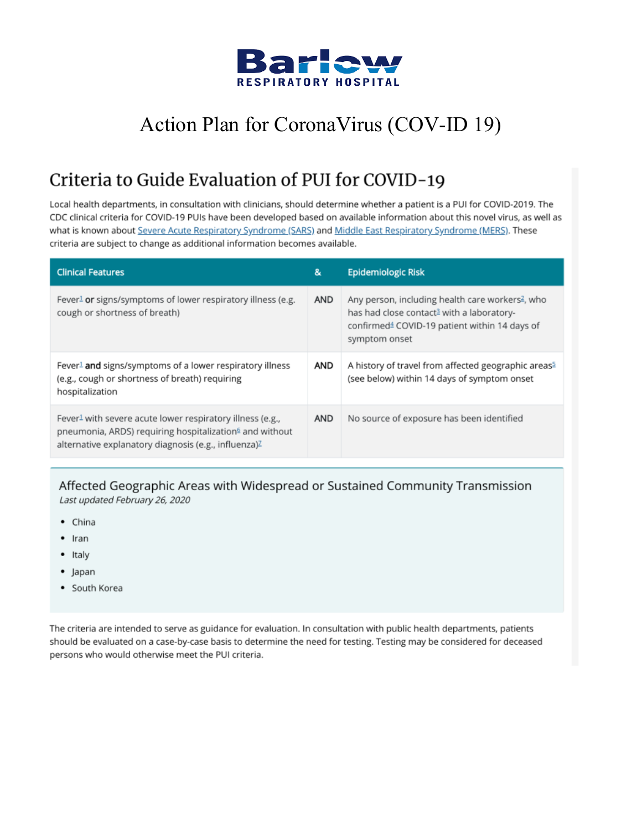

#### Criteria to Guide Evaluation of PUI for COVID-19

Local health departments, in consultation with clinicians, should determine whether a patient is a PUI for COVID-2019. The CDC clinical criteria for COVID-19 PUIs have been developed based on available information about this novel virus, as well as what is known about Severe Acute Respiratory Syndrome (SARS) and Middle East Respiratory Syndrome (MERS). These criteria are subject to change as additional information becomes available.

| <b>Clinical Features</b>                                                                                                                                                                                         | &          | Epidemiologic Risk                                                                                                                                                                                  |
|------------------------------------------------------------------------------------------------------------------------------------------------------------------------------------------------------------------|------------|-----------------------------------------------------------------------------------------------------------------------------------------------------------------------------------------------------|
| Fever <sup>1</sup> or signs/symptoms of lower respiratory illness (e.g.<br>cough or shortness of breath)                                                                                                         | <b>AND</b> | Any person, including health care workers <sup>2</sup> , who<br>has had close contact <sup>3</sup> with a laboratory-<br>confirmed <sup>4</sup> COVID-19 patient within 14 days of<br>symptom onset |
| Fever <sup>1</sup> and signs/symptoms of a lower respiratory illness<br>(e.g., cough or shortness of breath) requiring<br>hospitalization                                                                        | AND        | A history of travel from affected geographic areas <sup>5</sup><br>(see below) within 14 days of symptom onset                                                                                      |
| Fever <sup>1</sup> with severe acute lower respiratory illness (e.g.,<br>pneumonia, ARDS) requiring hospitalization <sup>6</sup> and without<br>alternative explanatory diagnosis (e.g., influenza) <sup>Z</sup> | <b>AND</b> | No source of exposure has been identified                                                                                                                                                           |

Affected Geographic Areas with Widespread or Sustained Community Transmission Last updated February 26, 2020

- China
- $•$  Iran
- Italy
- Japan
- South Korea

The criteria are intended to serve as guidance for evaluation. In consultation with public health departments, patients should be evaluated on a case-by-case basis to determine the need for testing. Testing may be considered for deceased persons who would otherwise meet the PUI criteria.